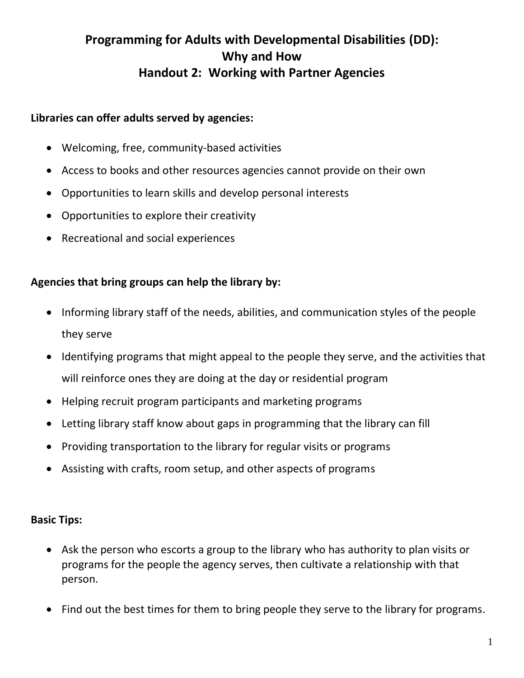## **Programming for Adults with Developmental Disabilities (DD): Why and How Handout 2: Working with Partner Agencies**

## **Libraries can offer adults served by agencies:**

- Welcoming, free, community-based activities
- Access to books and other resources agencies cannot provide on their own
- Opportunities to learn skills and develop personal interests
- Opportunities to explore their creativity
- Recreational and social experiences

## **Agencies that bring groups can help the library by:**

- Informing library staff of the needs, abilities, and communication styles of the people they serve
- Identifying programs that might appeal to the people they serve, and the activities that will reinforce ones they are doing at the day or residential program
- Helping recruit program participants and marketing programs
- Letting library staff know about gaps in programming that the library can fill
- Providing transportation to the library for regular visits or programs
- Assisting with crafts, room setup, and other aspects of programs

## **Basic Tips:**

- Ask the person who escorts a group to the library who has authority to plan visits or programs for the people the agency serves, then cultivate a relationship with that person.
- Find out the best times for them to bring people they serve to the library for programs.